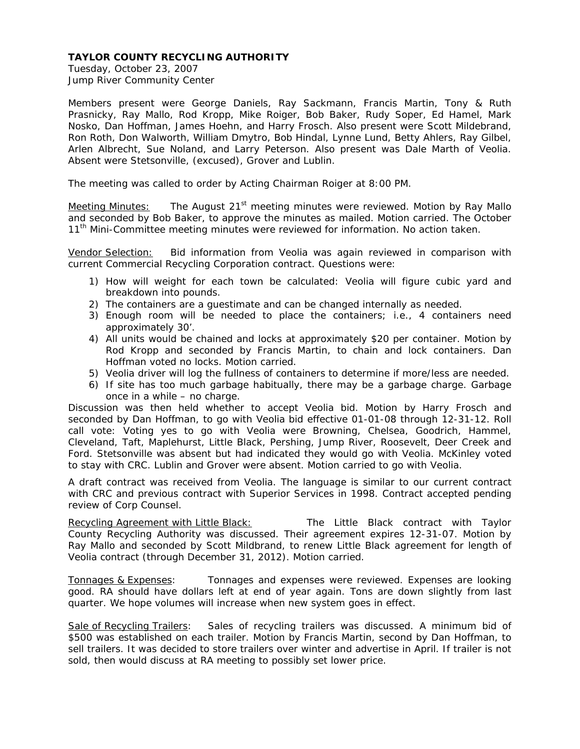Tuesday, October 23, 2007 Jump River Community Center

Members present were George Daniels, Ray Sackmann, Francis Martin, Tony & Ruth Prasnicky, Ray Mallo, Rod Kropp, Mike Roiger, Bob Baker, Rudy Soper, Ed Hamel, Mark Nosko, Dan Hoffman, James Hoehn, and Harry Frosch. Also present were Scott Mildebrand, Ron Roth, Don Walworth, William Dmytro, Bob Hindal, Lynne Lund, Betty Ahlers, Ray Gilbel, Arlen Albrecht, Sue Noland, and Larry Peterson. Also present was Dale Marth of Veolia. Absent were Stetsonville, (excused), Grover and Lublin.

The meeting was called to order by Acting Chairman Roiger at 8:00 PM.

Meeting Minutes: The August  $21<sup>st</sup>$  meeting minutes were reviewed. Motion by Ray Mallo and seconded by Bob Baker, to approve the minutes as mailed. Motion carried. The October 11<sup>th</sup> Mini-Committee meeting minutes were reviewed for information. No action taken.

Vendor Selection: Bid information from Veolia was again reviewed in comparison with current Commercial Recycling Corporation contract. Questions were:

- 1) How will weight for each town be calculated: Veolia will figure cubic yard and breakdown into pounds.
- 2) The containers are a guestimate and can be changed internally as needed.
- 3) Enough room will be needed to place the containers; i.e., 4 containers need approximately 30'.
- 4) All units would be chained and locks at approximately \$20 per container. Motion by Rod Kropp and seconded by Francis Martin, to chain and lock containers. Dan Hoffman voted no locks. Motion carried.
- 5) Veolia driver will log the fullness of containers to determine if more/less are needed.
- 6) If site has too much garbage habitually, there may be a garbage charge. Garbage once in a while – no charge.

Discussion was then held whether to accept Veolia bid. Motion by Harry Frosch and seconded by Dan Hoffman, to go with Veolia bid effective 01-01-08 through 12-31-12. Roll call vote: Voting yes to go with Veolia were Browning, Chelsea, Goodrich, Hammel, Cleveland, Taft, Maplehurst, Little Black, Pershing, Jump River, Roosevelt, Deer Creek and Ford. Stetsonville was absent but had indicated they would go with Veolia. McKinley voted to stay with CRC. Lublin and Grover were absent. Motion carried to go with Veolia.

A draft contract was received from Veolia. The language is similar to our current contract with CRC and previous contract with Superior Services in 1998. Contract accepted pending review of Corp Counsel.

Recycling Agreement with Little Black:The Little Black contract with Taylor County Recycling Authority was discussed. Their agreement expires 12-31-07. Motion by Ray Mallo and seconded by Scott Mildbrand, to renew Little Black agreement for length of Veolia contract (through December 31, 2012). Motion carried.

Tonnages & Expenses: Tonnages and expenses were reviewed. Expenses are looking good. RA should have dollars left at end of year again. Tons are down slightly from last quarter. We hope volumes will increase when new system goes in effect.

Sale of Recycling Trailers: Sales of recycling trailers was discussed. A minimum bid of \$500 was established on each trailer. Motion by Francis Martin, second by Dan Hoffman, to sell trailers. It was decided to store trailers over winter and advertise in April. If trailer is not sold, then would discuss at RA meeting to possibly set lower price.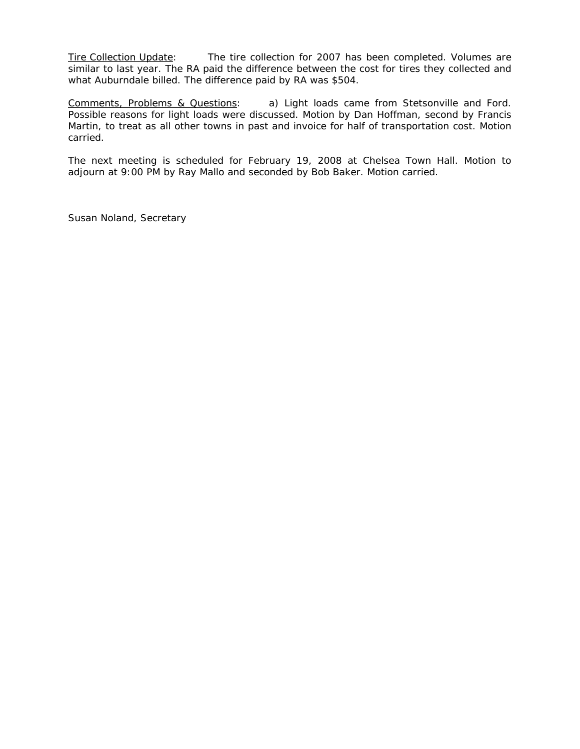Tire Collection Update: The tire collection for 2007 has been completed. Volumes are similar to last year. The RA paid the difference between the cost for tires they collected and what Auburndale billed. The difference paid by RA was \$504.

Comments, Problems & Questions: a) Light loads came from Stetsonville and Ford. Possible reasons for light loads were discussed. Motion by Dan Hoffman, second by Francis Martin, to treat as all other towns in past and invoice for half of transportation cost. Motion carried.

The next meeting is scheduled for February 19, 2008 at Chelsea Town Hall. Motion to adjourn at 9:00 PM by Ray Mallo and seconded by Bob Baker. Motion carried.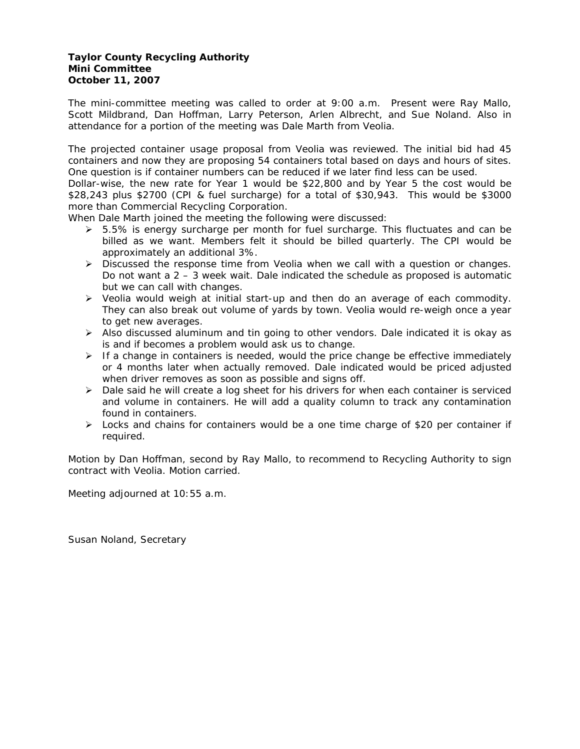## **Taylor County Recycling Authority Mini Committee October 11, 2007**

The mini-committee meeting was called to order at 9:00 a.m. Present were Ray Mallo, Scott Mildbrand, Dan Hoffman, Larry Peterson, Arlen Albrecht, and Sue Noland. Also in attendance for a portion of the meeting was Dale Marth from Veolia.

The projected container usage proposal from Veolia was reviewed. The initial bid had 45 containers and now they are proposing 54 containers total based on days and hours of sites. One question is if container numbers can be reduced if we later find less can be used.

Dollar-wise, the new rate for Year 1 would be \$22,800 and by Year 5 the cost would be \$28,243 plus \$2700 (CPI & fuel surcharge) for a total of \$30,943. This would be \$3000 more than Commercial Recycling Corporation.

When Dale Marth joined the meeting the following were discussed:

- $\geq$  5.5% is energy surcharge per month for fuel surcharge. This fluctuates and can be billed as we want. Members felt it should be billed quarterly. The CPI would be approximately an additional 3%.
- $\triangleright$  Discussed the response time from Veolia when we call with a question or changes. Do not want a 2 – 3 week wait. Dale indicated the schedule as proposed is automatic but we can call with changes.
- ¾ Veolia would weigh at initial start-up and then do an average of each commodity. They can also break out volume of yards by town. Veolia would re-weigh once a year to get new averages.
- ¾ Also discussed aluminum and tin going to other vendors. Dale indicated it is okay as is and if becomes a problem would ask us to change.
- $\triangleright$  If a change in containers is needed, would the price change be effective immediately or 4 months later when actually removed. Dale indicated would be priced adjusted when driver removes as soon as possible and signs off.
- $\triangleright$  Dale said he will create a log sheet for his drivers for when each container is serviced and volume in containers. He will add a quality column to track any contamination found in containers.
- $\triangleright$  Locks and chains for containers would be a one time charge of \$20 per container if required.

Motion by Dan Hoffman, second by Ray Mallo, to recommend to Recycling Authority to sign contract with Veolia. Motion carried.

Meeting adjourned at 10:55 a.m.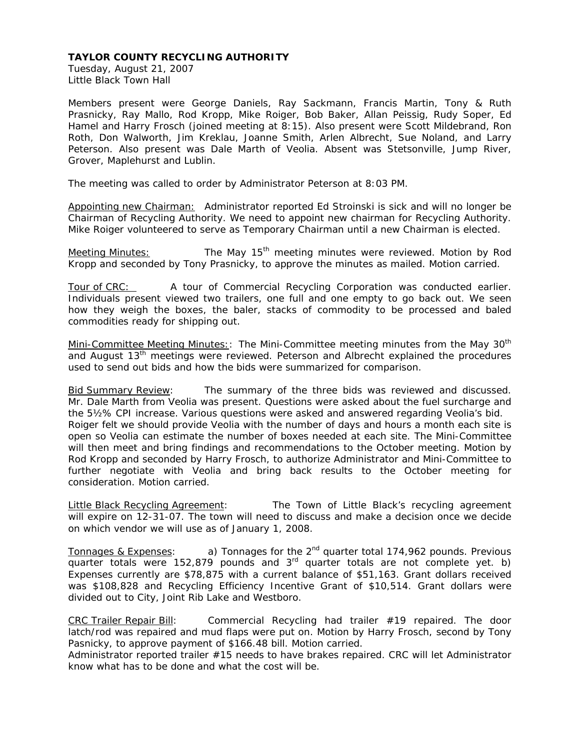Tuesday, August 21, 2007 Little Black Town Hall

Members present were George Daniels, Ray Sackmann, Francis Martin, Tony & Ruth Prasnicky, Ray Mallo, Rod Kropp, Mike Roiger, Bob Baker, Allan Peissig, Rudy Soper, Ed Hamel and Harry Frosch (joined meeting at 8:15). Also present were Scott Mildebrand, Ron Roth, Don Walworth, Jim Kreklau, Joanne Smith, Arlen Albrecht, Sue Noland, and Larry Peterson. Also present was Dale Marth of Veolia. Absent was Stetsonville, Jump River, Grover, Maplehurst and Lublin.

The meeting was called to order by Administrator Peterson at 8:03 PM.

Appointing new Chairman: Administrator reported Ed Stroinski is sick and will no longer be Chairman of Recycling Authority. We need to appoint new chairman for Recycling Authority. Mike Roiger volunteered to serve as Temporary Chairman until a new Chairman is elected.

Meeting Minutes: **The May 15<sup>th</sup> meeting minutes were reviewed. Motion by Rod** Kropp and seconded by Tony Prasnicky, to approve the minutes as mailed. Motion carried.

Tour of CRC: A tour of Commercial Recycling Corporation was conducted earlier. Individuals present viewed two trailers, one full and one empty to go back out. We seen how they weigh the boxes, the baler, stacks of commodity to be processed and baled commodities ready for shipping out.

Mini-Committee Meeting Minutes: The Mini-Committee meeting minutes from the May 30<sup>th</sup> and August 13<sup>th</sup> meetings were reviewed. Peterson and Albrecht explained the procedures used to send out bids and how the bids were summarized for comparison.

Bid Summary Review: The summary of the three bids was reviewed and discussed. Mr. Dale Marth from Veolia was present. Questions were asked about the fuel surcharge and the 5½% CPI increase. Various questions were asked and answered regarding Veolia's bid. Roiger felt we should provide Veolia with the number of days and hours a month each site is open so Veolia can estimate the number of boxes needed at each site. The Mini-Committee will then meet and bring findings and recommendations to the October meeting. Motion by Rod Kropp and seconded by Harry Frosch, to authorize Administrator and Mini-Committee to further negotiate with Veolia and bring back results to the October meeting for consideration. Motion carried.

Little Black Recycling Agreement:The Town of Little Black's recycling agreement will expire on 12-31-07. The town will need to discuss and make a decision once we decide on which vendor we will use as of January 1, 2008.

Tonnages & Expenses: a) Tonnages for the  $2^{nd}$  quarter total 174,962 pounds. Previous  $\overline{q}$  quarter totals were 152,879 pounds and 3<sup>rd</sup> quarter totals are not complete yet. b) Expenses currently are \$78,875 with a current balance of \$51,163. Grant dollars received was \$108,828 and Recycling Efficiency Incentive Grant of \$10,514. Grant dollars were divided out to City, Joint Rib Lake and Westboro.

CRC Trailer Repair Bill: Commercial Recycling had trailer #19 repaired. The door latch/rod was repaired and mud flaps were put on. Motion by Harry Frosch, second by Tony Pasnicky, to approve payment of \$166.48 bill. Motion carried.

Administrator reported trailer #15 needs to have brakes repaired. CRC will let Administrator know what has to be done and what the cost will be.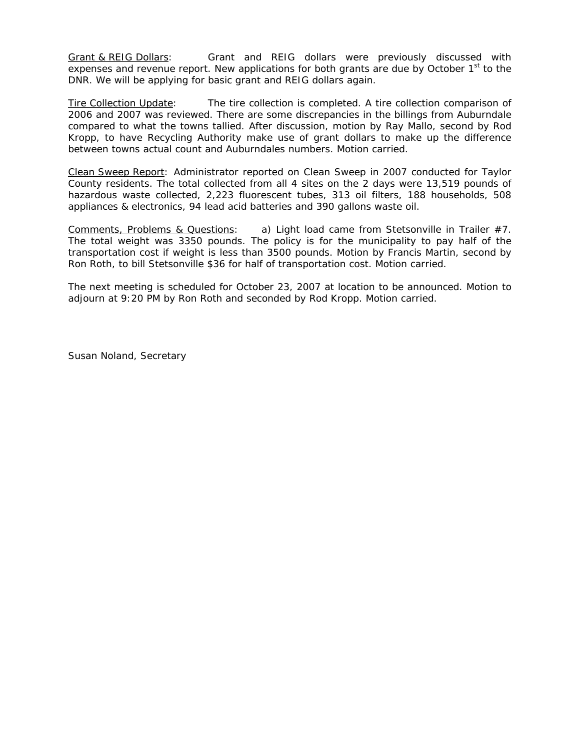Grant & REIG Dollars: Grant and REIG dollars were previously discussed with expenses and revenue report. New applications for both grants are due by October 1<sup>st</sup> to the DNR. We will be applying for basic grant and REIG dollars again.

Tire Collection Update: The tire collection is completed. A tire collection comparison of 2006 and 2007 was reviewed. There are some discrepancies in the billings from Auburndale compared to what the towns tallied. After discussion, motion by Ray Mallo, second by Rod Kropp, to have Recycling Authority make use of grant dollars to make up the difference between towns actual count and Auburndales numbers. Motion carried.

Clean Sweep Report: Administrator reported on Clean Sweep in 2007 conducted for Taylor County residents. The total collected from all 4 sites on the 2 days were 13,519 pounds of hazardous waste collected, 2,223 fluorescent tubes, 313 oil filters, 188 households, 508 appliances & electronics, 94 lead acid batteries and 390 gallons waste oil.

Comments, Problems & Questions: a) Light load came from Stetsonville in Trailer #7. The total weight was 3350 pounds. The policy is for the municipality to pay half of the transportation cost if weight is less than 3500 pounds. Motion by Francis Martin, second by Ron Roth, to bill Stetsonville \$36 for half of transportation cost. Motion carried.

The next meeting is scheduled for October 23, 2007 at location to be announced. Motion to adjourn at 9:20 PM by Ron Roth and seconded by Rod Kropp. Motion carried.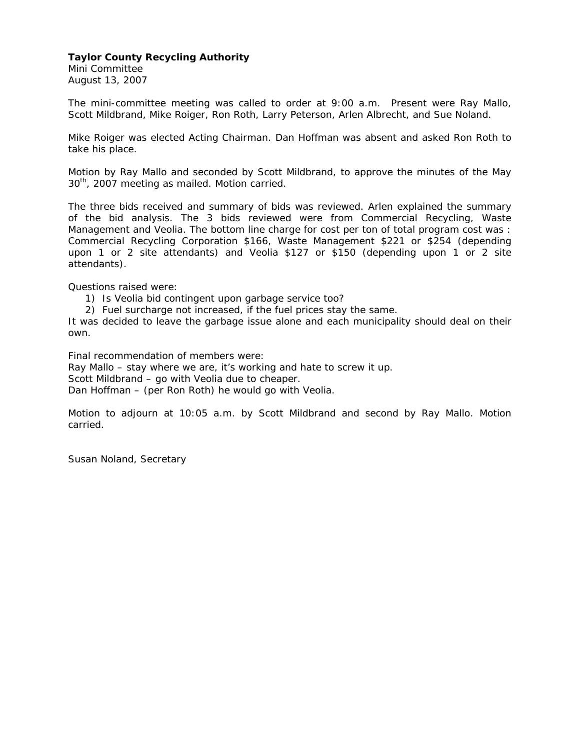# **Taylor County Recycling Authority**

Mini Committee August 13, 2007

The mini-committee meeting was called to order at 9:00 a.m. Present were Ray Mallo, Scott Mildbrand, Mike Roiger, Ron Roth, Larry Peterson, Arlen Albrecht, and Sue Noland.

Mike Roiger was elected Acting Chairman. Dan Hoffman was absent and asked Ron Roth to take his place.

Motion by Ray Mallo and seconded by Scott Mildbrand, to approve the minutes of the May 30<sup>th</sup>, 2007 meeting as mailed. Motion carried.

The three bids received and summary of bids was reviewed. Arlen explained the summary of the bid analysis. The 3 bids reviewed were from Commercial Recycling, Waste Management and Veolia. The bottom line charge for cost per ton of total program cost was : Commercial Recycling Corporation \$166, Waste Management \$221 or \$254 (depending upon 1 or 2 site attendants) and Veolia \$127 or \$150 (depending upon 1 or 2 site attendants).

Questions raised were:

1) Is Veolia bid contingent upon garbage service too?

2) Fuel surcharge not increased, if the fuel prices stay the same.

It was decided to leave the garbage issue alone and each municipality should deal on their own.

Final recommendation of members were: Ray Mallo – stay where we are, it's working and hate to screw it up. Scott Mildbrand – go with Veolia due to cheaper. Dan Hoffman – (per Ron Roth) he would go with Veolia.

Motion to adjourn at 10:05 a.m. by Scott Mildbrand and second by Ray Mallo. Motion carried.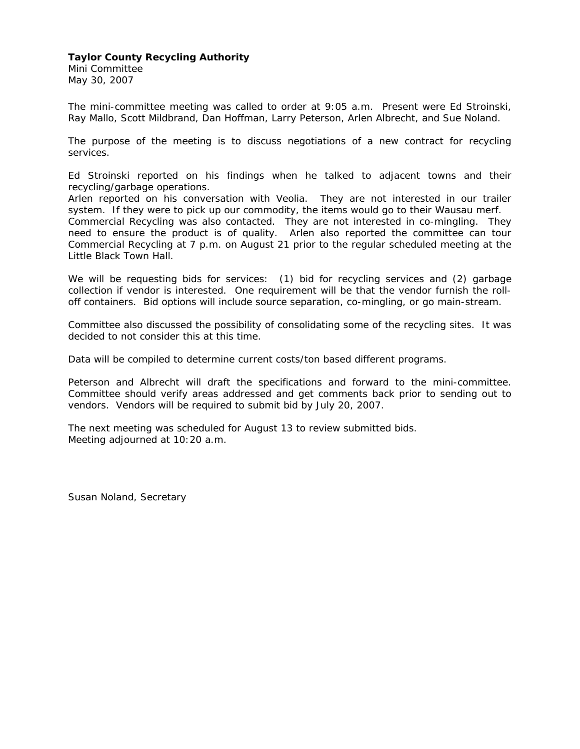## **Taylor County Recycling Authority**

Mini Committee May 30, 2007

Little Black Town Hall.

The mini-committee meeting was called to order at 9:05 a.m. Present were Ed Stroinski, Ray Mallo, Scott Mildbrand, Dan Hoffman, Larry Peterson, Arlen Albrecht, and Sue Noland.

The purpose of the meeting is to discuss negotiations of a new contract for recycling services.

Ed Stroinski reported on his findings when he talked to adjacent towns and their recycling/garbage operations.

Arlen reported on his conversation with Veolia. They are not interested in our trailer system. If they were to pick up our commodity, the items would go to their Wausau merf. Commercial Recycling was also contacted. They are not interested in co-mingling. They need to ensure the product is of quality. Arlen also reported the committee can tour Commercial Recycling at 7 p.m. on August 21 prior to the regular scheduled meeting at the

We will be requesting bids for services: (1) bid for recycling services and (2) garbage collection if vendor is interested. One requirement will be that the vendor furnish the roll-

off containers. Bid options will include source separation, co-mingling, or go main-stream.

Committee also discussed the possibility of consolidating some of the recycling sites. It was decided to not consider this at this time.

Data will be compiled to determine current costs/ton based different programs.

Peterson and Albrecht will draft the specifications and forward to the mini-committee. Committee should verify areas addressed and get comments back prior to sending out to vendors. Vendors will be required to submit bid by July 20, 2007.

The next meeting was scheduled for August 13 to review submitted bids. Meeting adjourned at 10:20 a.m.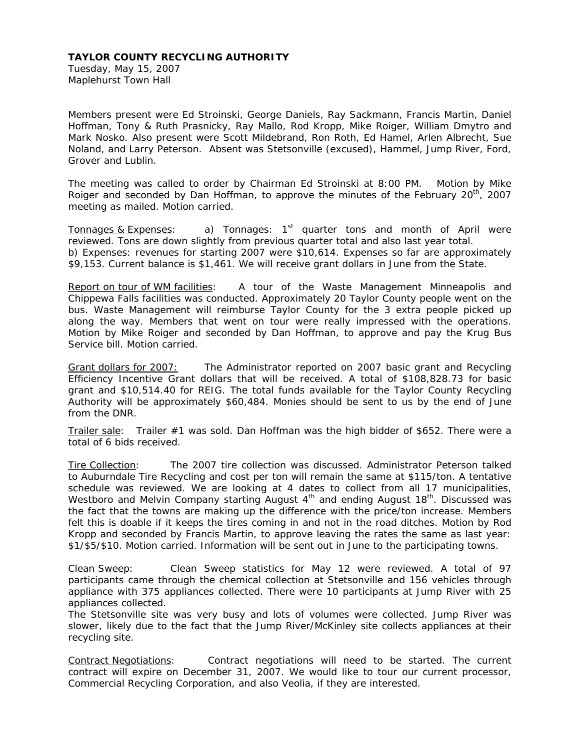Tuesday, May 15, 2007 Maplehurst Town Hall

Members present were Ed Stroinski, George Daniels, Ray Sackmann, Francis Martin, Daniel Hoffman, Tony & Ruth Prasnicky, Ray Mallo, Rod Kropp, Mike Roiger, William Dmytro and Mark Nosko. Also present were Scott Mildebrand, Ron Roth, Ed Hamel, Arlen Albrecht, Sue Noland, and Larry Peterson. Absent was Stetsonville (excused), Hammel, Jump River, Ford, Grover and Lublin.

The meeting was called to order by Chairman Ed Stroinski at 8:00 PM. Motion by Mike Roiger and seconded by Dan Hoffman, to approve the minutes of the February  $20^{th}$ , 2007 meeting as mailed. Motion carried.

Tonnages & Expenses: a) Tonnages:  $1<sup>st</sup>$  quarter tons and month of April were reviewed. Tons are down slightly from previous quarter total and also last year total. b) Expenses: revenues for starting 2007 were \$10,614. Expenses so far are approximately \$9,153. Current balance is \$1,461. We will receive grant dollars in June from the State.

Report on tour of WM facilities: A tour of the Waste Management Minneapolis and Chippewa Falls facilities was conducted. Approximately 20 Taylor County people went on the bus. Waste Management will reimburse Taylor County for the 3 extra people picked up along the way. Members that went on tour were really impressed with the operations. Motion by Mike Roiger and seconded by Dan Hoffman, to approve and pay the Krug Bus Service bill. Motion carried.

Grant dollars for 2007: The Administrator reported on 2007 basic grant and Recycling Efficiency Incentive Grant dollars that will be received. A total of \$108,828.73 for basic grant and \$10,514.40 for REIG. The total funds available for the Taylor County Recycling Authority will be approximately \$60,484. Monies should be sent to us by the end of June from the DNR.

Trailer sale: Trailer #1 was sold. Dan Hoffman was the high bidder of \$652. There were a total of 6 bids received.

Tire Collection: The 2007 tire collection was discussed. Administrator Peterson talked to Auburndale Tire Recycling and cost per ton will remain the same at \$115/ton. A tentative schedule was reviewed. We are looking at 4 dates to collect from all 17 municipalities, Westboro and Melvin Company starting August 4<sup>th</sup> and ending August 18<sup>th</sup>. Discussed was the fact that the towns are making up the difference with the price/ton increase. Members felt this is doable if it keeps the tires coming in and not in the road ditches. Motion by Rod Kropp and seconded by Francis Martin, to approve leaving the rates the same as last year: \$1/\$5/\$10. Motion carried. Information will be sent out in June to the participating towns.

Clean Sweep*:* Clean Sweep statistics for May 12 were reviewed. A total of 97 participants came through the chemical collection at Stetsonville and 156 vehicles through appliance with 375 appliances collected. There were 10 participants at Jump River with 25 appliances collected.

The Stetsonville site was very busy and lots of volumes were collected. Jump River was slower, likely due to the fact that the Jump River/McKinley site collects appliances at their recycling site.

Contract Negotiations: Contract negotiations will need to be started. The current contract will expire on December 31, 2007. We would like to tour our current processor, Commercial Recycling Corporation, and also Veolia, if they are interested.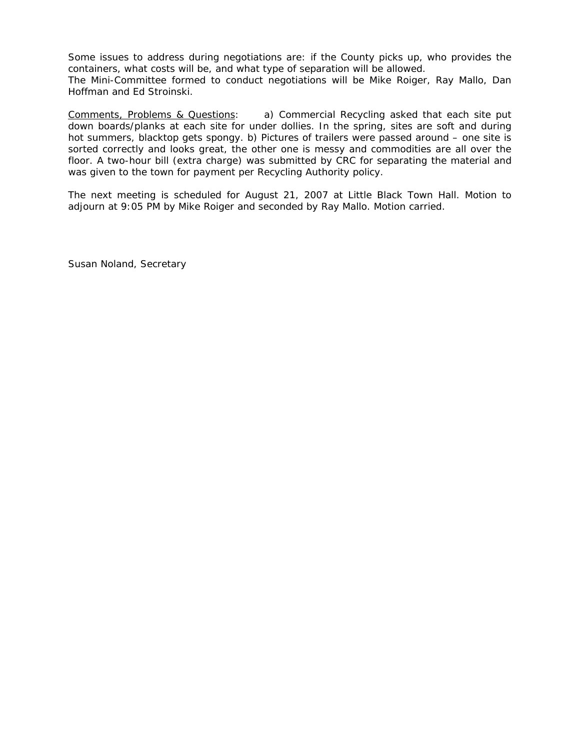Some issues to address during negotiations are: if the County picks up, who provides the containers, what costs will be, and what type of separation will be allowed. The Mini-Committee formed to conduct negotiations will be Mike Roiger, Ray Mallo, Dan Hoffman and Ed Stroinski.

Comments, Problems & Questions: a) Commercial Recycling asked that each site put down boards/planks at each site for under dollies. In the spring, sites are soft and during hot summers, blacktop gets spongy. b) Pictures of trailers were passed around – one site is sorted correctly and looks great, the other one is messy and commodities are all over the floor. A two-hour bill (extra charge) was submitted by CRC for separating the material and was given to the town for payment per Recycling Authority policy.

The next meeting is scheduled for August 21, 2007 at Little Black Town Hall. Motion to adjourn at 9:05 PM by Mike Roiger and seconded by Ray Mallo. Motion carried.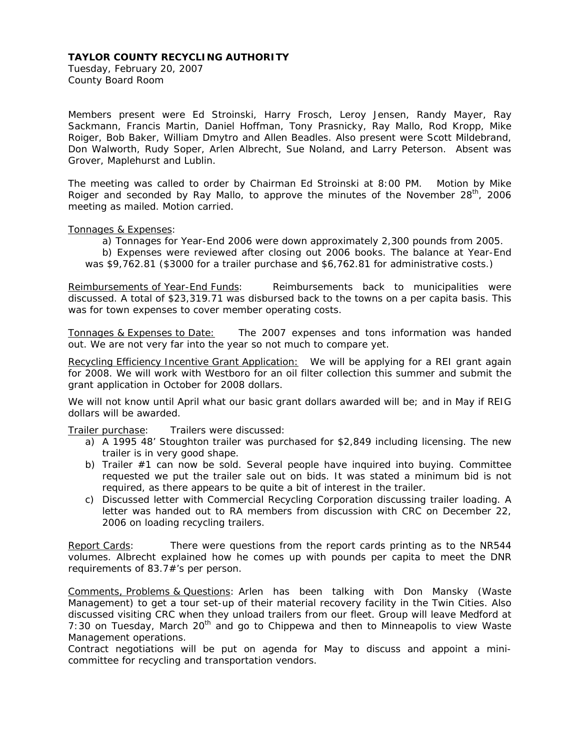Tuesday, February 20, 2007 County Board Room

Members present were Ed Stroinski, Harry Frosch, Leroy Jensen, Randy Mayer, Ray Sackmann, Francis Martin, Daniel Hoffman, Tony Prasnicky, Ray Mallo, Rod Kropp, Mike Roiger, Bob Baker, William Dmytro and Allen Beadles. Also present were Scott Mildebrand, Don Walworth, Rudy Soper, Arlen Albrecht, Sue Noland, and Larry Peterson. Absent was Grover, Maplehurst and Lublin.

The meeting was called to order by Chairman Ed Stroinski at 8:00 PM. Motion by Mike Roiger and seconded by Ray Mallo, to approve the minutes of the November  $28<sup>th</sup>$ , 2006 meeting as mailed. Motion carried.

Tonnages & Expenses:

a) Tonnages for Year-End 2006 were down approximately 2,300 pounds from 2005.

 b) Expenses were reviewed after closing out 2006 books. The balance at Year-End was \$9,762.81 (\$3000 for a trailer purchase and \$6,762.81 for administrative costs.)

*Reimbursements of Year-End Funds*: Reimbursements back to municipalities were discussed. A total of \$23,319.71 was disbursed back to the towns on a per capita basis. This was for town expenses to cover member operating costs.

Tonnages & Expenses to Date: The 2007 expenses and tons information was handed out. We are not very far into the year so not much to compare yet.

Recycling Efficiency Incentive Grant Application: We will be applying for a REI grant again for 2008. We will work with Westboro for an oil filter collection this summer and submit the grant application in October for 2008 dollars.

We will not know until April what our basic grant dollars awarded will be; and in May if REIG dollars will be awarded.

Trailer purchase: Trailers were discussed:

- a) A 1995 48' Stoughton trailer was purchased for \$2,849 including licensing. The new trailer is in very good shape.
- b) Trailer  $#1$  can now be sold. Several people have inquired into buying. Committee requested we put the trailer sale out on bids. It was stated a minimum bid is not required, as there appears to be quite a bit of interest in the trailer.
- c) Discussed letter with Commercial Recycling Corporation discussing trailer loading. A letter was handed out to RA members from discussion with CRC on December 22, 2006 on loading recycling trailers.

Report Cards: There were questions from the report cards printing as to the NR544 volumes. Albrecht explained how he comes up with pounds per capita to meet the DNR requirements of 83.7#'s per person.

Comments, Problems & Questions: Arlen has been talking with Don Mansky (Waste Management) to get a tour set-up of their material recovery facility in the Twin Cities. Also discussed visiting CRC when they unload trailers from our fleet. Group will leave Medford at 7:30 on Tuesday, March  $20<sup>th</sup>$  and go to Chippewa and then to Minneapolis to view Waste Management operations.

Contract negotiations will be put on agenda for May to discuss and appoint a minicommittee for recycling and transportation vendors.